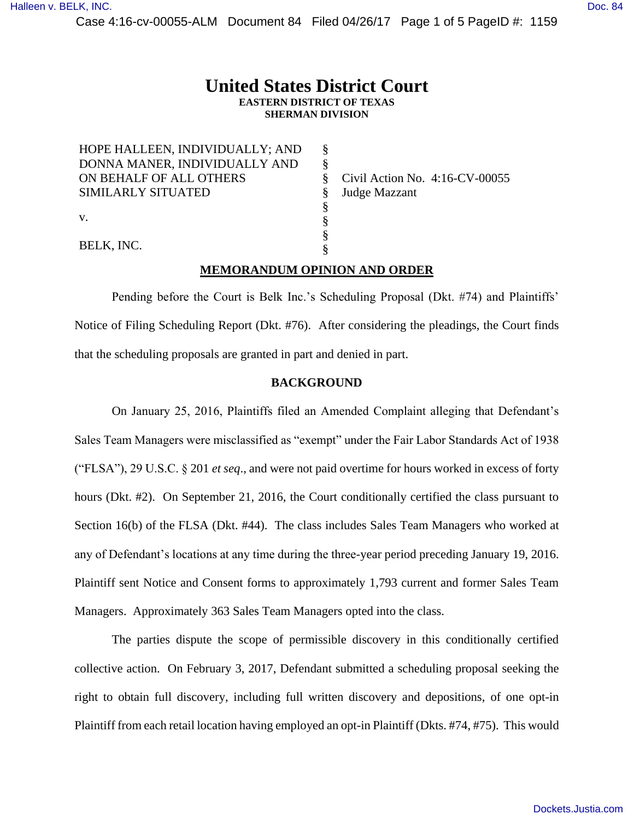Case 4:16-cv-00055-ALM Document 84 Filed 04/26/17 Page 1 of 5 PageID #: 1159

## **United States District Court EASTERN DISTRICT OF TEXAS SHERMAN DIVISION**

| HOPE HALLEEN, INDIVIDUALLY; AND |  |
|---------------------------------|--|
| DONNA MANER, INDIVIDUALLY AND   |  |
| ON BEHALF OF ALL OTHERS         |  |
| SIMILARLY SITUATED              |  |
|                                 |  |
| V.                              |  |
|                                 |  |
| BELK, INC.                      |  |

Civil Action No. 4:16-CV-00055 Judge Mazzant

# **MEMORANDUM OPINION AND ORDER**

Pending before the Court is Belk Inc.'s Scheduling Proposal (Dkt. #74) and Plaintiffs' Notice of Filing Scheduling Report (Dkt. #76). After considering the pleadings, the Court finds that the scheduling proposals are granted in part and denied in part.

### **BACKGROUND**

On January 25, 2016, Plaintiffs filed an Amended Complaint alleging that Defendant's Sales Team Managers were misclassified as "exempt" under the Fair Labor Standards Act of 1938 ("FLSA"), 29 U.S.C. § 201 *et seq*., and were not paid overtime for hours worked in excess of forty hours (Dkt. #2). On September 21, 2016, the Court conditionally certified the class pursuant to Section 16(b) of the FLSA (Dkt. #44). The class includes Sales Team Managers who worked at any of Defendant's locations at any time during the three-year period preceding January 19, 2016. Plaintiff sent Notice and Consent forms to approximately 1,793 current and former Sales Team Managers. Approximately 363 Sales Team Managers opted into the class.

The parties dispute the scope of permissible discovery in this conditionally certified collective action. On February 3, 2017, Defendant submitted a scheduling proposal seeking the right to obtain full discovery, including full written discovery and depositions, of one opt-in Plaintiff from each retail location having employed an opt-in Plaintiff (Dkts. #74, #75). This would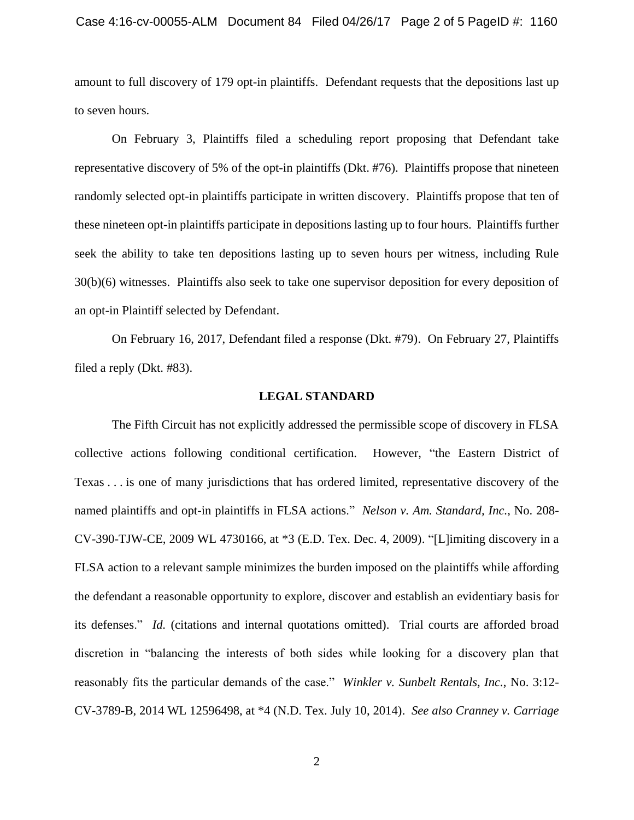amount to full discovery of 179 opt-in plaintiffs. Defendant requests that the depositions last up to seven hours.

On February 3, Plaintiffs filed a scheduling report proposing that Defendant take representative discovery of 5% of the opt-in plaintiffs (Dkt. #76). Plaintiffs propose that nineteen randomly selected opt-in plaintiffs participate in written discovery. Plaintiffs propose that ten of these nineteen opt-in plaintiffs participate in depositions lasting up to four hours. Plaintiffs further seek the ability to take ten depositions lasting up to seven hours per witness, including Rule 30(b)(6) witnesses. Plaintiffs also seek to take one supervisor deposition for every deposition of an opt-in Plaintiff selected by Defendant.

On February 16, 2017, Defendant filed a response (Dkt. #79). On February 27, Plaintiffs filed a reply (Dkt. #83).

#### **LEGAL STANDARD**

The Fifth Circuit has not explicitly addressed the permissible scope of discovery in FLSA collective actions following conditional certification. However, "the Eastern District of Texas . . . is one of many jurisdictions that has ordered limited, representative discovery of the named plaintiffs and opt-in plaintiffs in FLSA actions." *Nelson v. Am. Standard, Inc.*, No. 208- CV-390-TJW-CE, 2009 WL 4730166, at \*3 (E.D. Tex. Dec. 4, 2009). "[L]imiting discovery in a FLSA action to a relevant sample minimizes the burden imposed on the plaintiffs while affording the defendant a reasonable opportunity to explore, discover and establish an evidentiary basis for its defenses." *Id.* (citations and internal quotations omitted). Trial courts are afforded broad discretion in "balancing the interests of both sides while looking for a discovery plan that reasonably fits the particular demands of the case." *Winkler v. Sunbelt Rentals, Inc.*, No. 3:12- CV-3789-B, 2014 WL 12596498, at \*4 (N.D. Tex. July 10, 2014). *See also Cranney v. Carriage*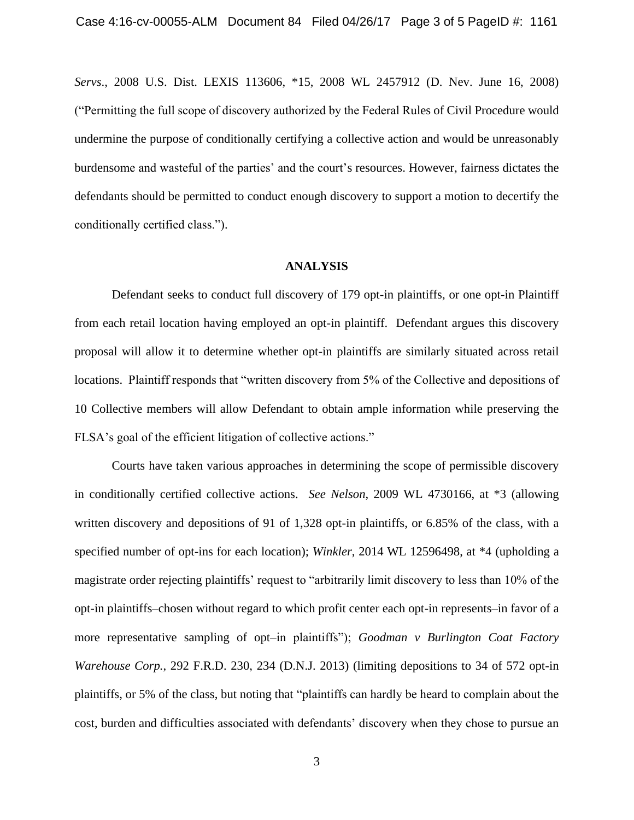*Servs*., 2008 U.S. Dist. LEXIS 113606, \*15, 2008 WL 2457912 (D. Nev. June 16, 2008) ("Permitting the full scope of discovery authorized by the Federal Rules of Civil Procedure would undermine the purpose of conditionally certifying a collective action and would be unreasonably burdensome and wasteful of the parties' and the court's resources. However, fairness dictates the defendants should be permitted to conduct enough discovery to support a motion to decertify the conditionally certified class.").

#### **ANALYSIS**

Defendant seeks to conduct full discovery of 179 opt-in plaintiffs, or one opt-in Plaintiff from each retail location having employed an opt-in plaintiff. Defendant argues this discovery proposal will allow it to determine whether opt-in plaintiffs are similarly situated across retail locations. Plaintiff responds that "written discovery from 5% of the Collective and depositions of 10 Collective members will allow Defendant to obtain ample information while preserving the FLSA's goal of the efficient litigation of collective actions."

Courts have taken various approaches in determining the scope of permissible discovery in conditionally certified collective actions. *See Nelson*, 2009 WL 4730166, at \*3 (allowing written discovery and depositions of 91 of 1,328 opt-in plaintiffs, or 6.85% of the class, with a specified number of opt-ins for each location); *Winkler*, 2014 WL 12596498, at \*4 (upholding a magistrate order rejecting plaintiffs' request to "arbitrarily limit discovery to less than 10% of the opt-in plaintiffs–chosen without regard to which profit center each opt-in represents–in favor of a more representative sampling of opt–in plaintiffs"); *Goodman v Burlington Coat Factory Warehouse Corp.*, 292 F.R.D. 230, 234 (D.N.J. 2013) (limiting depositions to 34 of 572 opt-in plaintiffs, or 5% of the class, but noting that "plaintiffs can hardly be heard to complain about the cost, burden and difficulties associated with defendants' discovery when they chose to pursue an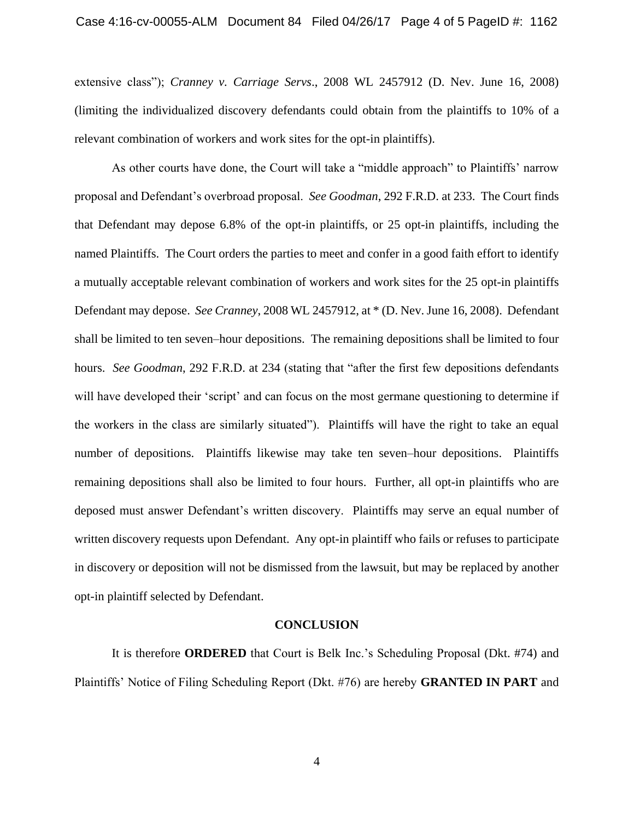#### Case 4:16-cv-00055-ALM Document 84 Filed 04/26/17 Page 4 of 5 PageID #: 1162

extensive class"); *Cranney v. Carriage Servs*., 2008 WL 2457912 (D. Nev. June 16, 2008) (limiting the individualized discovery defendants could obtain from the plaintiffs to 10% of a relevant combination of workers and work sites for the opt-in plaintiffs).

As other courts have done, the Court will take a "middle approach" to Plaintiffs' narrow proposal and Defendant's overbroad proposal. *See Goodman*, 292 F.R.D. at 233. The Court finds that Defendant may depose 6.8% of the opt-in plaintiffs, or 25 opt-in plaintiffs, including the named Plaintiffs. The Court orders the parties to meet and confer in a good faith effort to identify a mutually acceptable relevant combination of workers and work sites for the 25 opt-in plaintiffs Defendant may depose. *See Cranney*, 2008 WL 2457912, at \* (D. Nev. June 16, 2008). Defendant shall be limited to ten seven–hour depositions. The remaining depositions shall be limited to four hours. *See Goodman*, 292 F.R.D. at 234 (stating that "after the first few depositions defendants will have developed their 'script' and can focus on the most germane questioning to determine if the workers in the class are similarly situated"). Plaintiffs will have the right to take an equal number of depositions. Plaintiffs likewise may take ten seven–hour depositions. Plaintiffs remaining depositions shall also be limited to four hours. Further, all opt-in plaintiffs who are deposed must answer Defendant's written discovery. Plaintiffs may serve an equal number of written discovery requests upon Defendant. Any opt-in plaintiff who fails or refuses to participate in discovery or deposition will not be dismissed from the lawsuit, but may be replaced by another opt-in plaintiff selected by Defendant.

#### **CONCLUSION**

It is therefore **ORDERED** that Court is Belk Inc.'s Scheduling Proposal (Dkt. #74) and Plaintiffs' Notice of Filing Scheduling Report (Dkt. #76) are hereby **GRANTED IN PART** and